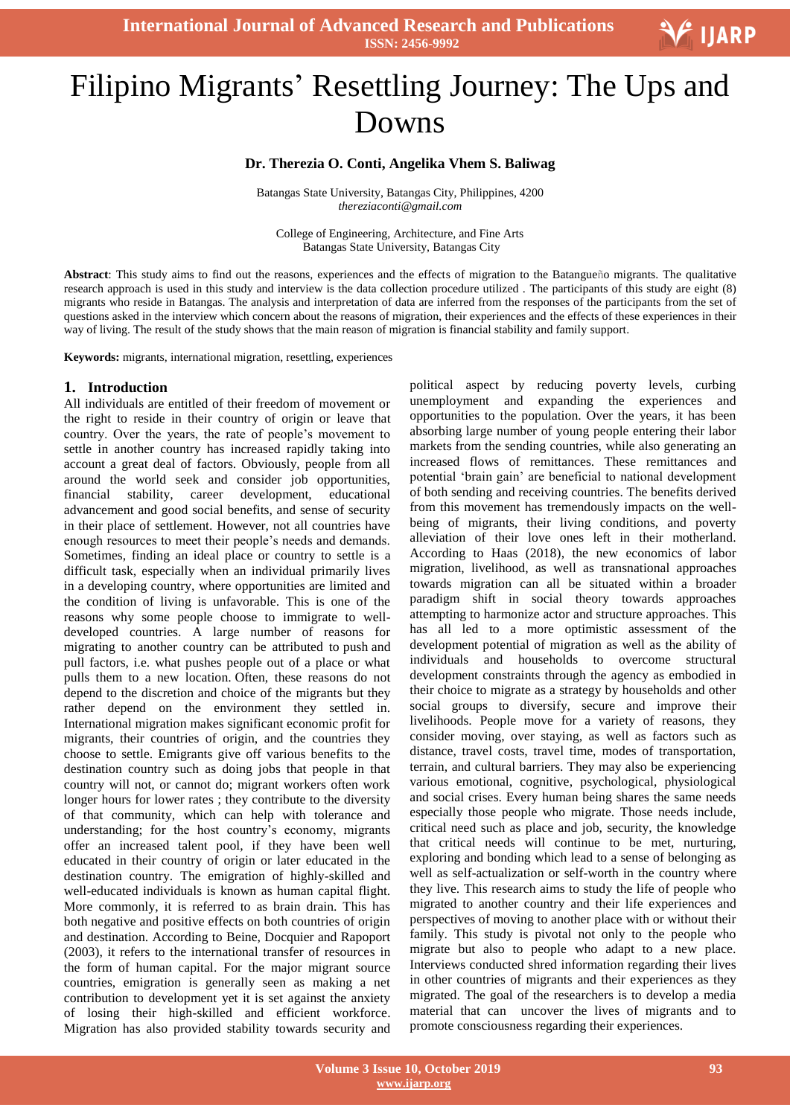

# Ξ Filipino Migrants' Resettling Journey: The Ups and Downs

## **Dr. Therezia O. Conti, Angelika Vhem S. Baliwag**

Batangas State University, Batangas City, Philippines, 4200 *[thereziaconti@gmail.com](mailto:thereziaconti@gmail.com)*

College of Engineering, Architecture, and Fine Arts Batangas State University, Batangas City

**Abstract**: This study aims to find out the reasons, experiences and the effects of migration to the Batangueño migrants. The qualitative research approach is used in this study and interview is the data collection procedure utilized . The participants of this study are eight (8) migrants who reside in Batangas. The analysis and interpretation of data are inferred from the responses of the participants from the set of questions asked in the interview which concern about the reasons of migration, their experiences and the effects of these experiences in their way of living. The result of the study shows that the main reason of migration is financial stability and family support.

**Keywords:** migrants, international migration, resettling, experiences

#### **1. Introduction**

All individuals are entitled of their freedom of movement or the right to reside in their country of origin or leave that country. Over the years, the rate of people"s movement to settle in another country has increased rapidly taking into account a great deal of factors. Obviously, people from all around the world seek and consider job opportunities, financial stability, career development, educational advancement and good social benefits, and sense of security in their place of settlement. However, not all countries have enough resources to meet their people's needs and demands. Sometimes, finding an ideal place or country to settle is a difficult task, especially when an individual primarily lives in a developing country, where opportunities are limited and the condition of living is unfavorable. This is one of the reasons why some people choose to immigrate to welldeveloped countries. A large number of reasons for migrating to another country can be attributed to push and pull factors, i.e. what pushes people out of a place or what pulls them to a new location. Often, these reasons do not depend to the discretion and choice of the migrants but they rather depend on the environment they settled in. International migration makes significant economic profit for migrants, their countries of origin, and the countries they choose to settle. Emigrants give off various benefits to the destination country such as doing jobs that people in that country will not, or cannot do; migrant workers often work longer hours for lower rates ; they contribute to the diversity of that community, which can help with tolerance and understanding; for the host country's economy, migrants offer an increased talent pool, if they have been well educated in their country of origin or later educated in the destination country. The emigration of highly-skilled and well-educated individuals is known as human capital flight. More commonly, it is referred to as brain drain. This has both negative and positive effects on both countries of origin and destination. According to Beine, Docquier and Rapoport (2003), it refers to the international transfer of resources in the form of human capital. For the major migrant source countries, emigration is generally seen as making a net contribution to development yet it is set against the anxiety of losing their high-skilled and efficient workforce. Migration has also provided stability towards security and

political aspect by reducing poverty levels, curbing unemployment and expanding the experiences and opportunities to the population. Over the years, it has been absorbing large number of young people entering their labor markets from the sending countries, while also generating an increased flows of remittances. These remittances and potential "brain gain" are beneficial to national development of both sending and receiving countries. The benefits derived from this movement has tremendously impacts on the wellbeing of migrants, their living conditions, and poverty alleviation of their love ones left in their motherland. According to Haas (2018), the new economics of labor migration, livelihood, as well as transnational approaches towards migration can all be situated within a broader paradigm shift in social theory towards approaches attempting to harmonize actor and structure approaches. This has all led to a more optimistic assessment of the development potential of migration as well as the ability of individuals and households to overcome structural development constraints through the agency as embodied in their choice to migrate as a strategy by households and other social groups to diversify, secure and improve their livelihoods. People move for a variety of reasons, they consider moving, over staying, as well as factors such as distance, travel costs, travel time, modes of transportation, terrain, and cultural barriers. They may also be experiencing various emotional, cognitive, psychological, physiological and social crises. Every human being shares the same needs especially those people who migrate. Those needs include, critical need such as place and job, security, the knowledge that critical needs will continue to be met, nurturing, exploring and bonding which lead to a sense of belonging as well as self-actualization or self-worth in the country where they live. This research aims to study the life of people who migrated to another country and their life experiences and perspectives of moving to another place with or without their family. This study is pivotal not only to the people who migrate but also to people who adapt to a new place. Interviews conducted shred information regarding their lives in other countries of migrants and their experiences as they migrated. The goal of the researchers is to develop a media material that can uncover the lives of migrants and to promote consciousness regarding their experiences.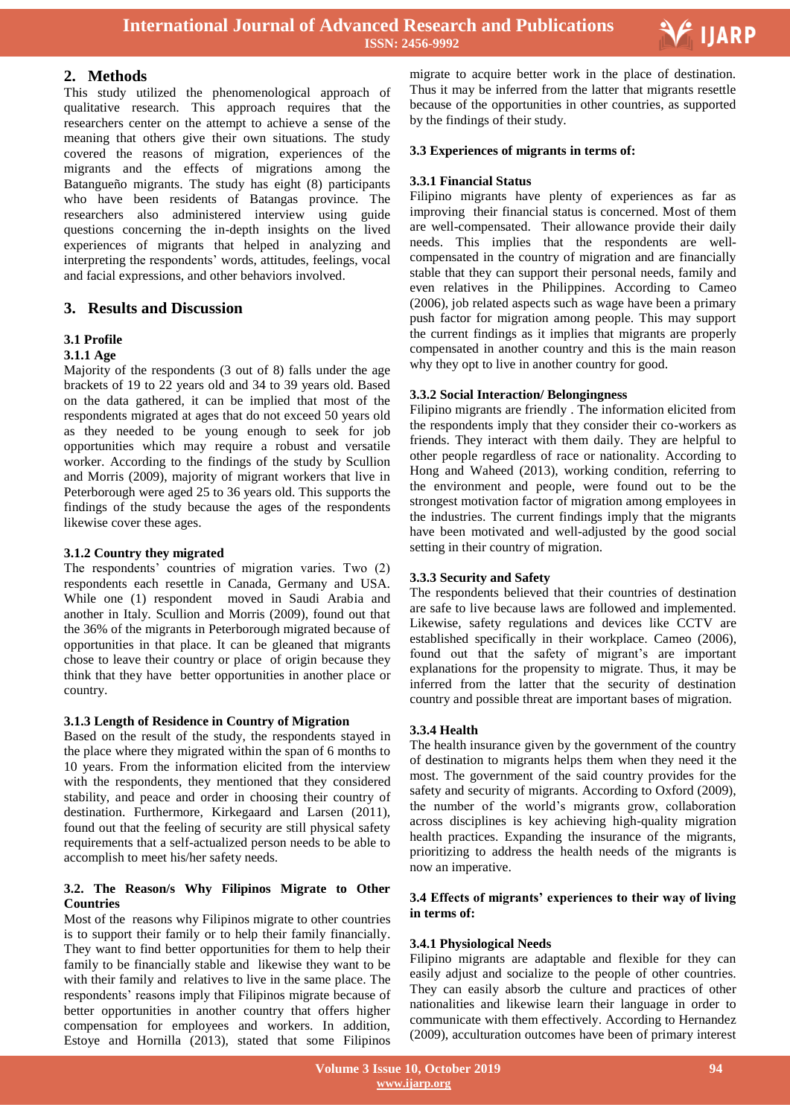

## **2. Methods**

This study utilized the phenomenological approach of qualitative research. This approach requires that the researchers center on the attempt to achieve a sense of the meaning that others give their own situations. The study covered the reasons of migration, experiences of the migrants and the effects of migrations among the Batangueño migrants. The study has eight (8) participants who have been residents of Batangas province. The researchers also administered interview using guide questions concerning the in-depth insights on the lived experiences of migrants that helped in analyzing and interpreting the respondents' words, attitudes, feelings, vocal and facial expressions, and other behaviors involved.

## **3. Results and Discussion**

## **3.1 Profile**

#### **3.1.1 Age**

Majority of the respondents (3 out of 8) falls under the age brackets of 19 to 22 years old and 34 to 39 years old. Based on the data gathered, it can be implied that most of the respondents migrated at ages that do not exceed 50 years old as they needed to be young enough to seek for job opportunities which may require a robust and versatile worker. According to the findings of the study by Scullion and Morris (2009), majority of migrant workers that live in Peterborough were aged 25 to 36 years old. This supports the findings of the study because the ages of the respondents likewise cover these ages.

#### **3.1.2 Country they migrated**

The respondents' countries of migration varies. Two (2) respondents each resettle in Canada, Germany and USA. While one (1) respondent moved in Saudi Arabia and another in Italy. Scullion and Morris (2009), found out that the 36% of the migrants in Peterborough migrated because of opportunities in that place. It can be gleaned that migrants chose to leave their country or place of origin because they think that they have better opportunities in another place or country.

#### **3.1.3 Length of Residence in Country of Migration**

Based on the result of the study, the respondents stayed in the place where they migrated within the span of 6 months to 10 years. From the information elicited from the interview with the respondents, they mentioned that they considered stability, and peace and order in choosing their country of destination. Furthermore, Kirkegaard and Larsen (2011), found out that the feeling of security are still physical safety requirements that a self-actualized person needs to be able to accomplish to meet his/her safety needs.

## **3.2. The Reason/s Why Filipinos Migrate to Other Countries**

Most of the reasons why Filipinos migrate to other countries is to support their family or to help their family financially. They want to find better opportunities for them to help their family to be financially stable and likewise they want to be with their family and relatives to live in the same place. The respondents' reasons imply that Filipinos migrate because of better opportunities in another country that offers higher compensation for employees and workers. In addition, Estoye and Hornilla (2013), stated that some Filipinos

 migrate to acquire better work in the place of destination. Thus it may be inferred from the latter that migrants resettle because of the opportunities in other countries, as supported by the findings of their study.

## **3.3 Experiences of migrants in terms of:**

#### **3.3.1 Financial Status**

Filipino migrants have plenty of experiences as far as improving their financial status is concerned. Most of them are well-compensated. Their allowance provide their daily needs. This implies that the respondents are wellcompensated in the country of migration and are financially stable that they can support their personal needs, family and even relatives in the Philippines. According to Cameo (2006), job related aspects such as wage have been a primary push factor for migration among people. This may support the current findings as it implies that migrants are properly compensated in another country and this is the main reason why they opt to live in another country for good.

## **3.3.2 Social Interaction/ Belongingness**

Filipino migrants are friendly . The information elicited from the respondents imply that they consider their co-workers as friends. They interact with them daily. They are helpful to other people regardless of race or nationality. According to Hong and Waheed (2013), working condition, referring to the environment and people, were found out to be the strongest motivation factor of migration among employees in the industries. The current findings imply that the migrants have been motivated and well-adjusted by the good social setting in their country of migration.

## **3.3.3 Security and Safety**

The respondents believed that their countries of destination are safe to live because laws are followed and implemented. Likewise, safety regulations and devices like CCTV are established specifically in their workplace. Cameo (2006), found out that the safety of migrant's are important explanations for the propensity to migrate. Thus, it may be inferred from the latter that the security of destination country and possible threat are important bases of migration.

#### **3.3.4 Health**

The health insurance given by the government of the country of destination to migrants helps them when they need it the most. The government of the said country provides for the safety and security of migrants. According to Oxford (2009), the number of the world"s migrants grow, collaboration across disciplines is key achieving high-quality migration health practices. Expanding the insurance of the migrants, prioritizing to address the health needs of the migrants is now an imperative.

#### **3.4 Effects of migrants' experiences to their way of living in terms of:**

#### **3.4.1 Physiological Needs**

Filipino migrants are adaptable and flexible for they can easily adjust and socialize to the people of other countries. They can easily absorb the culture and practices of other nationalities and likewise learn their language in order to communicate with them effectively. According to Hernandez (2009), acculturation outcomes have been of primary interest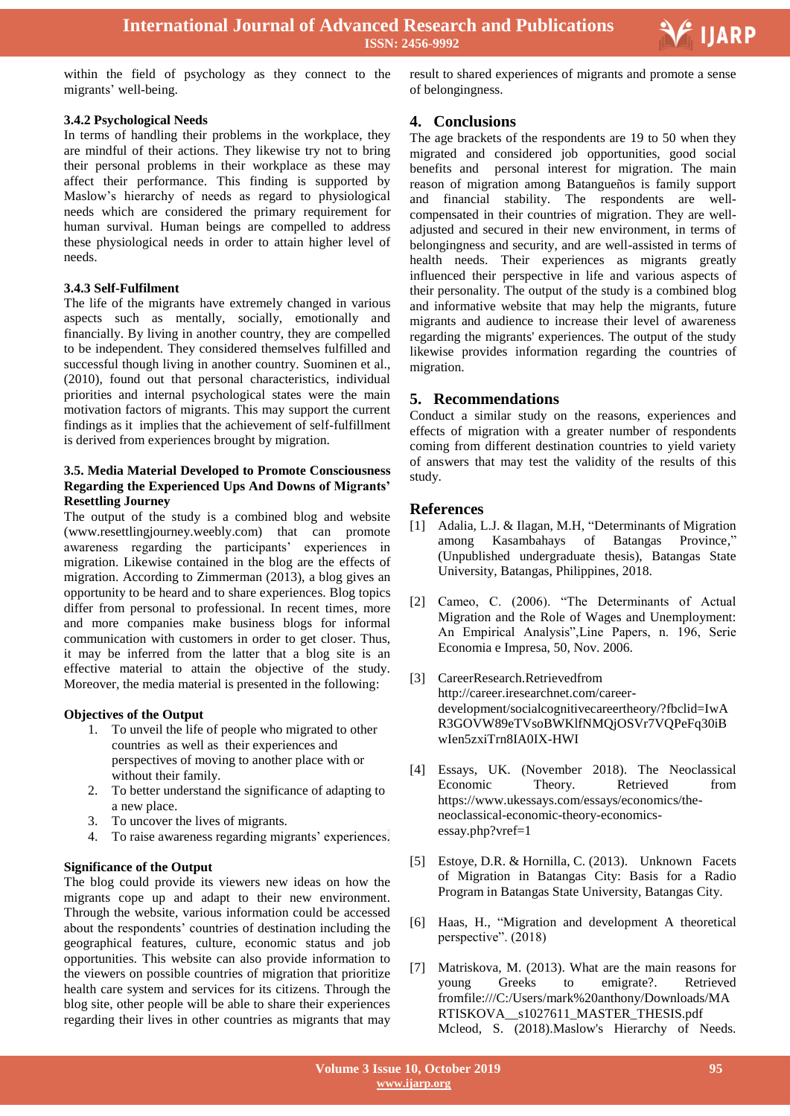

within the field of psychology as they connect to the migrants' well-being.

**3.4.2 Psychological Needs**

In terms of handling their problems in the workplace, they are mindful of their actions. They likewise try not to bring their personal problems in their workplace as these may affect their performance. This finding is supported by Maslow"s hierarchy of needs as regard to physiological needs which are considered the primary requirement for human survival. Human beings are compelled to address these physiological needs in order to attain higher level of needs.

## **3.4.3 Self-Fulfilment**

The life of the migrants have extremely changed in various aspects such as mentally, socially, emotionally and financially. By living in another country, they are compelled to be independent. They considered themselves fulfilled and successful though living in another country. Suominen et al., (2010), found out that personal characteristics, individual priorities and internal psychological states were the main motivation factors of migrants. This may support the current findings as it implies that the achievement of self-fulfillment is derived from experiences brought by migration.

## **3.5. Media Material Developed to Promote Consciousness Regarding the Experienced Ups And Downs of Migrants' Resettling Journey**

The output of the study is a combined blog and website (www.resettlingjourney.weebly.com) that can promote awareness regarding the participants' experiences in migration. Likewise contained in the blog are the effects of migration. According to Zimmerman (2013), a blog gives an opportunity to be heard and to share experiences. Blog topics differ from personal to professional. In recent times, more and more companies make business blogs for informal communication with customers in order to get closer. Thus, it may be inferred from the latter that a blog site is an effective material to attain the objective of the study. Moreover, the media material is presented in the following:

## **Objectives of the Output**

- 1. To unveil the life of people who migrated to other countries as well as their experiences and perspectives of moving to another place with or without their family.
- 2. To better understand the significance of adapting to a new place.
- 3. To uncover the lives of migrants.
- 4. To raise awareness regarding migrants' experiences.

## **Significance of the Output**

The blog could provide its viewers new ideas on how the migrants cope up and adapt to their new environment. Through the website, various information could be accessed about the respondents" countries of destination including the geographical features, culture, economic status and job opportunities. This website can also provide information to the viewers on possible countries of migration that prioritize health care system and services for its citizens. Through the blog site, other people will be able to share their experiences regarding their lives in other countries as migrants that may

 result to shared experiences of migrants and promote a sense of belongingness.

## **4. Conclusions**

The age brackets of the respondents are 19 to 50 when they migrated and considered job opportunities, good social benefits and personal interest for migration. The main reason of migration among Batangueños is family support and financial stability. The respondents are wellcompensated in their countries of migration. They are welladjusted and secured in their new environment, in terms of belongingness and security, and are well-assisted in terms of health needs. Their experiences as migrants greatly influenced their perspective in life and various aspects of their personality. The output of the study is a combined blog and informative website that may help the migrants, future migrants and audience to increase their level of awareness regarding the migrants' experiences. The output of the study likewise provides information regarding the countries of migration.

## **5. Recommendations**

Conduct a similar study on the reasons, experiences and effects of migration with a greater number of respondents coming from different destination countries to yield variety of answers that may test the validity of the results of this study.

## **References**

- [1] Adalia, L.J. & Ilagan, M.H, "Determinants of Migration among Kasambahays of Batangas Province," (Unpublished undergraduate thesis), Batangas State University, Batangas, Philippines, 2018.
- [2] Cameo, C. (2006). "The Determinants of Actual Migration and the Role of Wages and Unemployment: An Empirical Analysis",Line Papers, n. 196, Serie Economia e Impresa, 50, Nov. 2006.
- [3] CareerResearch.Retrievedfrom [http://career.iresearchnet.com/career](http://career.iresearchnet.com/career-development/socialcognitivecareertheory/?fbclid=IwAR3GOVW89eTVsoBWKlfNMQjOSVr7VQPeFq30iBwIen5zxiTrn8IA0IX-HWI)[development/socialcognitivecareertheory/?fbclid=IwA](http://career.iresearchnet.com/career-development/socialcognitivecareertheory/?fbclid=IwAR3GOVW89eTVsoBWKlfNMQjOSVr7VQPeFq30iBwIen5zxiTrn8IA0IX-HWI) [R3GOVW89eTVsoBWKlfNMQjOSVr7VQPeFq30iB](http://career.iresearchnet.com/career-development/socialcognitivecareertheory/?fbclid=IwAR3GOVW89eTVsoBWKlfNMQjOSVr7VQPeFq30iBwIen5zxiTrn8IA0IX-HWI) [wIen5zxiTrn8IA0IX-HWI](http://career.iresearchnet.com/career-development/socialcognitivecareertheory/?fbclid=IwAR3GOVW89eTVsoBWKlfNMQjOSVr7VQPeFq30iBwIen5zxiTrn8IA0IX-HWI)
- [4] Essays, UK. (November 2018). The Neoclassical Economic Theory. Retrieved from [https://www.ukessays.com/essays/economics/the](https://www.ukessays.com/essays/economics/the-%20%20%20%20%20%20%20%20neoclassical-economic-theory-economics-essay.php?vref=1)[neoclassical-economic-theory-economics](https://www.ukessays.com/essays/economics/the-%20%20%20%20%20%20%20%20neoclassical-economic-theory-economics-essay.php?vref=1)[essay.php?vref=1](https://www.ukessays.com/essays/economics/the-%20%20%20%20%20%20%20%20neoclassical-economic-theory-economics-essay.php?vref=1)
- [5] Estoye, D.R. & Hornilla, C. (2013). Unknown Facets of Migration in Batangas City: Basis for a Radio Program in Batangas State University, Batangas City.
- [6] Haas, H., "Migration and development A theoretical perspective". (2018)
- [7] Matriskova, M. (2013). What are the main reasons for young Greeks to emigrate?. Retrieved fromfile:///C:/Users/mark%20anthony/Downloads/MA RTISKOVA\_\_s1027611\_MASTER\_THESIS.pdf Mcleod, S. (2018).Maslow's Hierarchy of Needs.